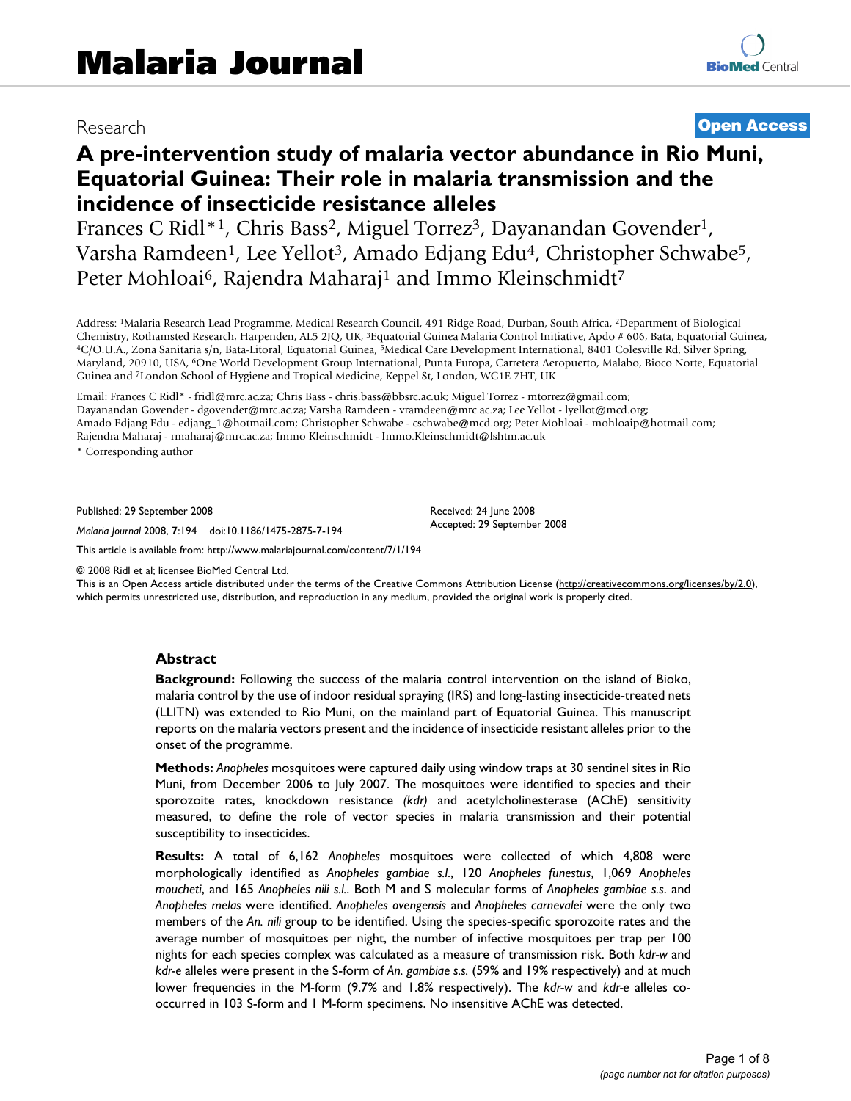# Research **[Open Access](http://www.biomedcentral.com/info/about/charter/)**

# **A pre-intervention study of malaria vector abundance in Rio Muni, Equatorial Guinea: Their role in malaria transmission and the incidence of insecticide resistance alleles**

Frances C Ridl<sup>\*1</sup>, Chris Bass<sup>2</sup>, Miguel Torrez<sup>3</sup>, Dayanandan Govender<sup>1</sup>, Varsha Ramdeen<sup>1</sup>, Lee Yellot<sup>3</sup>, Amado Edjang Edu<sup>4</sup>, Christopher Schwabe<sup>5</sup>, Peter Mohloai<sup>6</sup>, Rajendra Maharaj<sup>1</sup> and Immo Kleinschmidt<sup>7</sup>

Address: 1Malaria Research Lead Programme, Medical Research Council, 491 Ridge Road, Durban, South Africa, 2Department of Biological Chemistry, Rothamsted Research, Harpenden, AL5 2JQ, UK, <sup>3</sup>Equatorial Guinea Malaria Control Initiative, Apdo # 606, Bata, Equatorial Guinea, <sup>4</sup>C/O.U.A., Zona Sanitaria s/n, Bata-Litoral, Equatorial Guinea, 5Medical Care Maryland, 20910, USA, 6One World Development Group International, Punta Europa, Carretera Aeropuerto, Malabo, Bioco Norte, Equatorial Guinea and 7London School of Hygiene and Tropical Medicine, Keppel St, London, WC1E 7HT, UK

Email: Frances C Ridl\* - fridl@mrc.ac.za; Chris Bass - chris.bass@bbsrc.ac.uk; Miguel Torrez - mtorrez@gmail.com; Dayanandan Govender - dgovender@mrc.ac.za; Varsha Ramdeen - vramdeen@mrc.ac.za; Lee Yellot - lyellot@mcd.org; Amado Edjang Edu - edjang\_1@hotmail.com; Christopher Schwabe - cschwabe@mcd.org; Peter Mohloai - mohloaip@hotmail.com; Rajendra Maharaj - rmaharaj@mrc.ac.za; Immo Kleinschmidt - Immo.Kleinschmidt@lshtm.ac.uk

\* Corresponding author

Published: 29 September 2008

*Malaria Journal* 2008, **7**:194 doi:10.1186/1475-2875-7-194

Received: 24 June 2008 Accepted: 29 September 2008

[This article is available from: http://www.malariajournal.com/content/7/1/194](http://www.malariajournal.com/content/7/1/194)

© 2008 Ridl et al; licensee BioMed Central Ltd.

This is an Open Access article distributed under the terms of the Creative Commons Attribution License [\(http://creativecommons.org/licenses/by/2.0\)](http://creativecommons.org/licenses/by/2.0), which permits unrestricted use, distribution, and reproduction in any medium, provided the original work is properly cited.

#### **Abstract**

**Background:** Following the success of the malaria control intervention on the island of Bioko, malaria control by the use of indoor residual spraying (IRS) and long-lasting insecticide-treated nets (LLITN) was extended to Rio Muni, on the mainland part of Equatorial Guinea. This manuscript reports on the malaria vectors present and the incidence of insecticide resistant alleles prior to the onset of the programme.

**Methods:** *Anopheles* mosquitoes were captured daily using window traps at 30 sentinel sites in Rio Muni, from December 2006 to July 2007. The mosquitoes were identified to species and their sporozoite rates, knockdown resistance *(kdr)* and acetylcholinesterase (AChE) sensitivity measured, to define the role of vector species in malaria transmission and their potential susceptibility to insecticides.

**Results:** A total of 6,162 *Anopheles* mosquitoes were collected of which 4,808 were morphologically identified as *Anopheles gambiae s.l*., 120 *Anopheles funestus*, 1,069 *Anopheles moucheti*, and 165 *Anopheles nili s.l.*. Both M and S molecular forms of *Anopheles gambiae s.s*. and *Anopheles melas* were identified. *Anopheles ovengensis* and *Anopheles carnevalei* were the only two members of the *An. nili* group to be identified. Using the species-specific sporozoite rates and the average number of mosquitoes per night, the number of infective mosquitoes per trap per 100 nights for each species complex was calculated as a measure of transmission risk. Both *kdr-w* and *kdr-e* alleles were present in the S-form of *An. gambiae s.s.* (59% and 19% respectively) and at much lower frequencies in the M-form (9.7% and 1.8% respectively). The *kdr-w* and *kdr-e* alleles cooccurred in 103 S-form and 1 M-form specimens. No insensitive AChE was detected.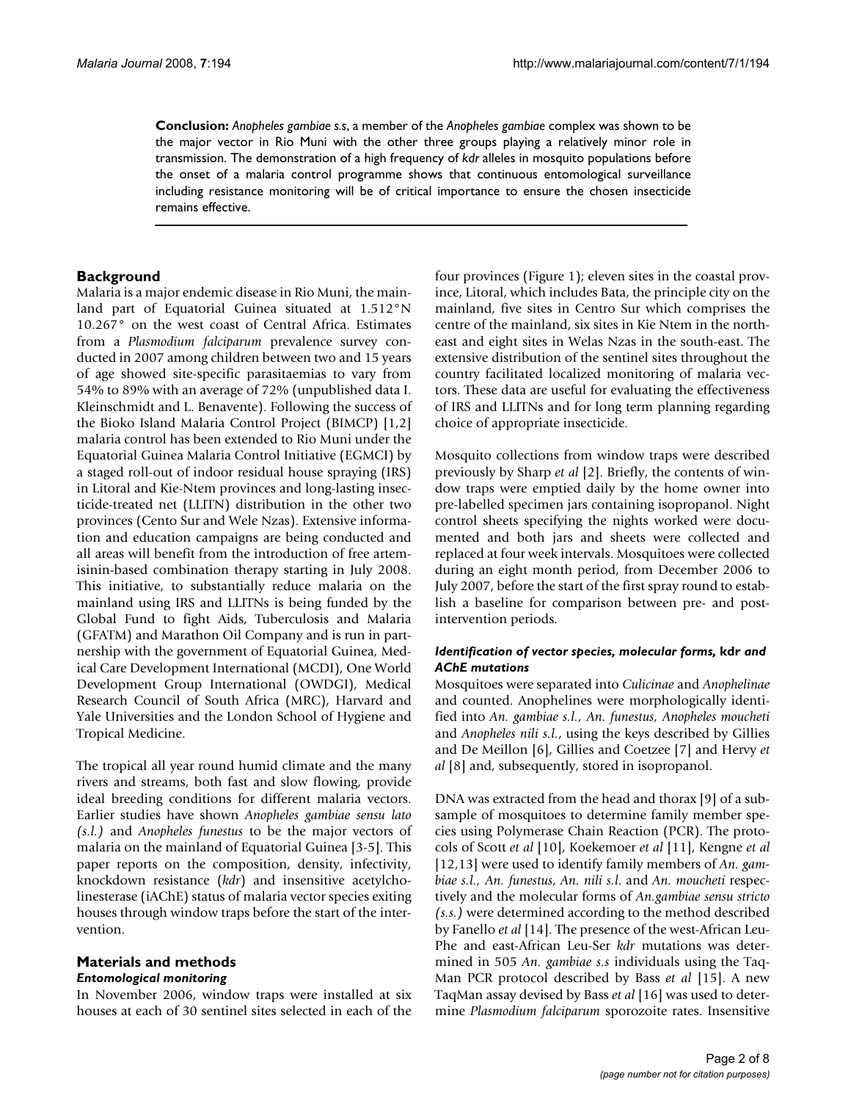**Conclusion:** *Anopheles gambiae s.s*, a member of the *Anopheles gambiae* complex was shown to be the major vector in Rio Muni with the other three groups playing a relatively minor role in transmission. The demonstration of a high frequency of *kdr* alleles in mosquito populations before the onset of a malaria control programme shows that continuous entomological surveillance including resistance monitoring will be of critical importance to ensure the chosen insecticide remains effective.

# **Background**

Malaria is a major endemic disease in Rio Muni, the mainland part of Equatorial Guinea situated at 1.512°N 10.267° on the west coast of Central Africa. Estimates from a *Plasmodium falciparum* prevalence survey conducted in 2007 among children between two and 15 years of age showed site-specific parasitaemias to vary from 54% to 89% with an average of 72% (unpublished data I. Kleinschmidt and L. Benavente). Following the success of the Bioko Island Malaria Control Project (BIMCP) [\[1,](#page-6-0)2] malaria control has been extended to Rio Muni under the Equatorial Guinea Malaria Control Initiative (EGMCI) by a staged roll-out of indoor residual house spraying (IRS) in Litoral and Kie-Ntem provinces and long-lasting insecticide-treated net (LLITN) distribution in the other two provinces (Cento Sur and Wele Nzas). Extensive information and education campaigns are being conducted and all areas will benefit from the introduction of free artemisinin-based combination therapy starting in July 2008. This initiative, to substantially reduce malaria on the mainland using IRS and LLITNs is being funded by the Global Fund to fight Aids, Tuberculosis and Malaria (GFATM) and Marathon Oil Company and is run in partnership with the government of Equatorial Guinea, Medical Care Development International (MCDI), One World Development Group International (OWDGI), Medical Research Council of South Africa (MRC), Harvard and Yale Universities and the London School of Hygiene and Tropical Medicine.

The tropical all year round humid climate and the many rivers and streams, both fast and slow flowing, provide ideal breeding conditions for different malaria vectors. Earlier studies have shown *Anopheles gambiae sensu lato (s.l.)* and *Anopheles funestus* to be the major vectors of malaria on the mainland of Equatorial Guinea [3-5]. This paper reports on the composition, density, infectivity, knockdown resistance (*kdr*) and insensitive acetylcholinesterase (iAChE) status of malaria vector species exiting houses through window traps before the start of the intervention.

#### **Materials and methods** *Entomological monitoring*

In November 2006, window traps were installed at six houses at each of 30 sentinel sites selected in each of the four provinces (Figure 1); eleven sites in the coastal province, Litoral, which includes Bata, the principle city on the mainland, five sites in Centro Sur which comprises the centre of the mainland, six sites in Kie Ntem in the northeast and eight sites in Welas Nzas in the south-east. The extensive distribution of the sentinel sites throughout the country facilitated localized monitoring of malaria vectors. These data are useful for evaluating the effectiveness of IRS and LLITNs and for long term planning regarding choice of appropriate insecticide.

Mosquito collections from window traps were described previously by Sharp *et al* [2]. Briefly, the contents of window traps were emptied daily by the home owner into pre-labelled specimen jars containing isopropanol. Night control sheets specifying the nights worked were documented and both jars and sheets were collected and replaced at four week intervals. Mosquitoes were collected during an eight month period, from December 2006 to July 2007, before the start of the first spray round to establish a baseline for comparison between pre- and postintervention periods.

#### *Identification of vector species, molecular forms,* **kdr** *and AChE mutations*

Mosquitoes were separated into *Culicinae* and *Anophelinae* and counted. Anophelines were morphologically identified into *An. gambiae s.l., An. funestus, Anopheles moucheti* and *Anopheles nili s.l.*, using the keys described by Gillies and De Meillon [6], Gillies and Coetzee [7] and Hervy *et al* [8] and, subsequently, stored in isopropanol.

DNA was extracted from the head and thorax [[9](#page-6-1)] of a subsample of mosquitoes to determine family member species using Polymerase Chain Reaction (PCR). The protocols of Scott *et al* [\[10](#page-6-2)], Koekemoer *et al* [11], Kengne *et al* [12,13] were used to identify family members of *An. gambiae s.l., An. funestus*, *An. nili s.l*. and *An. moucheti* respectively and the molecular forms of *An.gambiae sensu stricto (s.s.)* were determined according to the method described by Fanello *et al* [14]. The presence of the west-African Leu-Phe and east-African Leu-Ser *kdr* mutations was determined in 505 *An. gambiae s.s* individuals using the Taq-Man PCR protocol described by Bass *et al* [15]. A new TaqMan assay devised by Bass *et al* [16] was used to determine *Plasmodium falciparum* sporozoite rates. Insensitive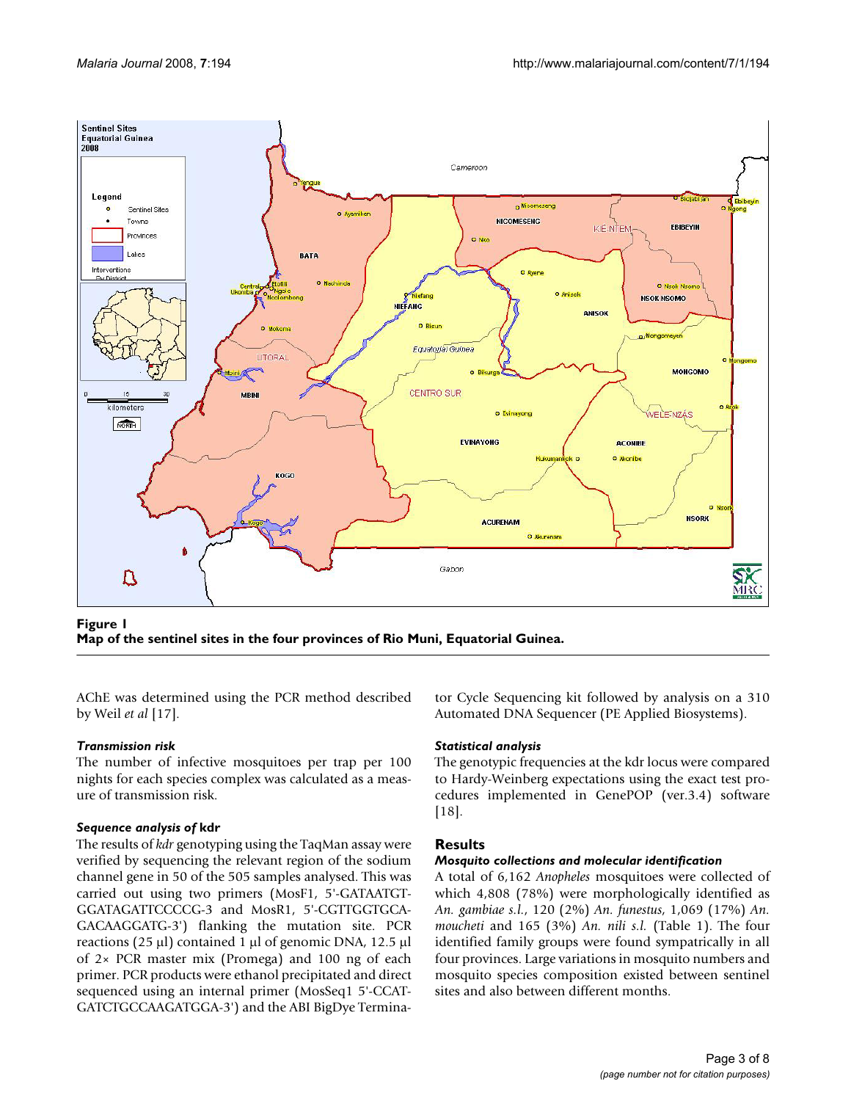

Figure 1 **Map of the sentinel sites in the four provinces of Rio Muni, Equatorial Guinea.**

AChE was determined using the PCR method described by Weil *et al* [17].

# *Transmission risk*

The number of infective mosquitoes per trap per 100 nights for each species complex was calculated as a measure of transmission risk.

# *Sequence analysis of* **kdr**

The results of *kdr* genotyping using the TaqMan assay were verified by sequencing the relevant region of the sodium channel gene in 50 of the 505 samples analysed. This was carried out using two primers (MosF1, 5'-GATAATGT-GGATAGATTCCCCG-3 and MosR1, 5'-CGTTGGTGCA-GACAAGGATG-3') flanking the mutation site. PCR reactions (25 μl) contained 1 μl of genomic DNA, 12.5 μl of 2× PCR master mix (Promega) and 100 ng of each primer. PCR products were ethanol precipitated and direct sequenced using an internal primer (MosSeq1 5'-CCAT-GATCTGCCAAGATGGA-3') and the ABI BigDye Terminator Cycle Sequencing kit followed by analysis on a 310 Automated DNA Sequencer (PE Applied Biosystems).

# *Statistical analysis*

The genotypic frequencies at the kdr locus were compared to Hardy-Weinberg expectations using the exact test procedures implemented in GenePOP (ver.3.4) software [18].

# **Results**

# *Mosquito collections and molecular identification*

A total of 6,162 *Anopheles* mosquitoes were collected of which 4,808 (78%) were morphologically identified as *An. gambiae s.l.*, 120 (2%) *An. funestus*, 1,069 (17%) *An. moucheti* and 165 (3%) *An. nili s.l.* (Table 1). The four identified family groups were found sympatrically in all four provinces. Large variations in mosquito numbers and mosquito species composition existed between sentinel sites and also between different months.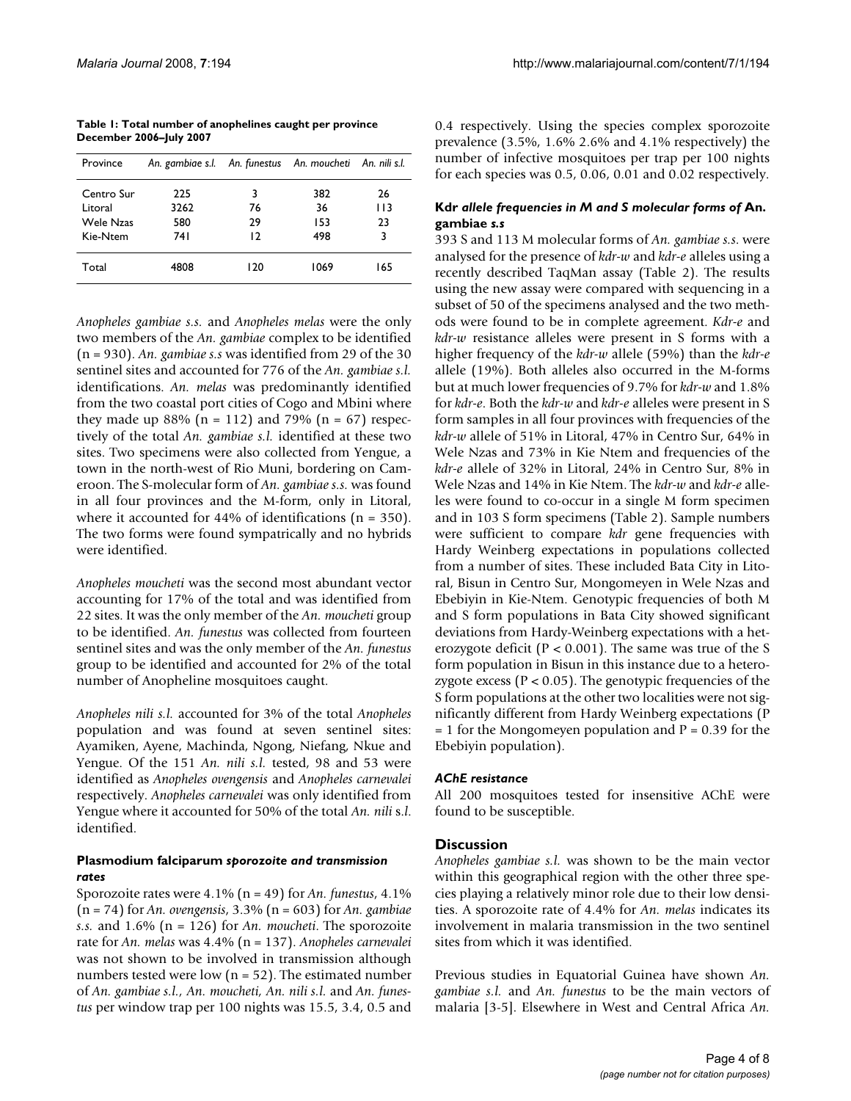| Table 1: Total number of anophelines caught per province |  |
|----------------------------------------------------------|--|
| December 2006-July 2007                                  |  |

| Province   | An. gambiae s.l. An. funestus An. moucheti An. nili s.l. |     |      |     |
|------------|----------------------------------------------------------|-----|------|-----|
| Centro Sur | 225                                                      | 3   | 382  | 26  |
| l itoral.  | 3262                                                     | 76  | 36   | 113 |
| Wele Nzas  | 580                                                      | 29  | 153  | 23  |
| Kie-Ntem   | 74 I                                                     | 12  | 498  | 3   |
| Total      | 4808                                                     | 120 | 1069 | 165 |

*Anopheles gambiae s.s.* and *Anopheles melas* were the only two members of the *An. gambiae* complex to be identified (n = 930). *An. gambiae s.s* was identified from 29 of the 30 sentinel sites and accounted for 776 of the *An. gambiae s.l.* identifications. *An. melas* was predominantly identified from the two coastal port cities of Cogo and Mbini where they made up  $88\%$  (n = 112) and 79% (n = 67) respectively of the total *An. gambiae s.l.* identified at these two sites. Two specimens were also collected from Yengue, a town in the north-west of Rio Muni, bordering on Cameroon. The S-molecular form of *An. gambiae s.s.* was found in all four provinces and the M-form, only in Litoral, where it accounted for 44% of identifications ( $n = 350$ ). The two forms were found sympatrically and no hybrids were identified.

*Anopheles moucheti* was the second most abundant vector accounting for 17% of the total and was identified from 22 sites. It was the only member of the *An. moucheti* group to be identified. *An. funestus* was collected from fourteen sentinel sites and was the only member of the *An. funestus* group to be identified and accounted for 2% of the total number of Anopheline mosquitoes caught.

*Anopheles nili s.l.* accounted for 3% of the total *Anopheles* population and was found at seven sentinel sites: Ayamiken, Ayene, Machinda, Ngong, Niefang, Nkue and Yengue. Of the 151 *An. nili s.l.* tested, 98 and 53 were identified as *Anopheles ovengensis* and *Anopheles carnevalei* respectively. *Anopheles carnevalei* was only identified from Yengue where it accounted for 50% of the total *An. nili* s.*l*. identified.

#### **Plasmodium falciparum** *sporozoite and transmission rates*

Sporozoite rates were 4.1% (n = 49) for *An. funestus*, 4.1% (n = 74) for *An. ovengensis*, 3.3% (n = 603) for *An. gambiae s.s.* and 1.6% (n = 126) for *An. moucheti*. The sporozoite rate for *An. melas* was 4.4% (n = 137). *Anopheles carnevalei* was not shown to be involved in transmission although numbers tested were low ( $n = 52$ ). The estimated number of *An. gambiae s.l., An. moucheti, An. nili s.l.* and *An. funestus* per window trap per 100 nights was 15.5, 3.4, 0.5 and 0.4 respectively. Using the species complex sporozoite prevalence (3.5%, 1.6% 2.6% and 4.1% respectively) the number of infective mosquitoes per trap per 100 nights for each species was 0.5, 0.06, 0.01 and 0.02 respectively.

# **Kdr** *allele frequencies in M and S molecular forms of* **An. gambiae** *s.s*

393 S and 113 M molecular forms of *An. gambiae s.s*. were analysed for the presence of *kdr-w* and *kdr-e* alleles using a recently described TaqMan assay (Table 2). The results using the new assay were compared with sequencing in a subset of 50 of the specimens analysed and the two methods were found to be in complete agreement. *Kdr-e* and *kdr-w* resistance alleles were present in S forms with a higher frequency of the *kdr-w* allele (59%) than the *kdr-e* allele (19%). Both alleles also occurred in the M-forms but at much lower frequencies of 9.7% for *kdr-w* and 1.8% for *kdr-e*. Both the *kdr-w* and *kdr-e* alleles were present in S form samples in all four provinces with frequencies of the *kdr-w* allele of 51% in Litoral, 47% in Centro Sur, 64% in Wele Nzas and 73% in Kie Ntem and frequencies of the *kdr-e* allele of 32% in Litoral, 24% in Centro Sur, 8% in Wele Nzas and 14% in Kie Ntem. The *kdr-w* and *kdr-e* alleles were found to co-occur in a single M form specimen and in 103 S form specimens (Table 2). Sample numbers were sufficient to compare *kdr* gene frequencies with Hardy Weinberg expectations in populations collected from a number of sites. These included Bata City in Litoral, Bisun in Centro Sur, Mongomeyen in Wele Nzas and Ebebiyin in Kie-Ntem. Genotypic frequencies of both M and S form populations in Bata City showed significant deviations from Hardy-Weinberg expectations with a heterozygote deficit ( $P < 0.001$ ). The same was true of the S form population in Bisun in this instance due to a heterozygote excess ( $P < 0.05$ ). The genotypic frequencies of the S form populations at the other two localities were not significantly different from Hardy Weinberg expectations (P  $= 1$  for the Mongomeyen population and  $P = 0.39$  for the Ebebiyin population).

#### *AChE resistance*

All 200 mosquitoes tested for insensitive AChE were found to be susceptible.

#### **Discussion**

*Anopheles gambiae s.l.* was shown to be the main vector within this geographical region with the other three species playing a relatively minor role due to their low densities. A sporozoite rate of 4.4% for *An. melas* indicates its involvement in malaria transmission in the two sentinel sites from which it was identified.

Previous studies in Equatorial Guinea have shown *An. gambiae s.l.* and *An. funestus* to be the main vectors of malaria [3-5]. Elsewhere in West and Central Africa *An.*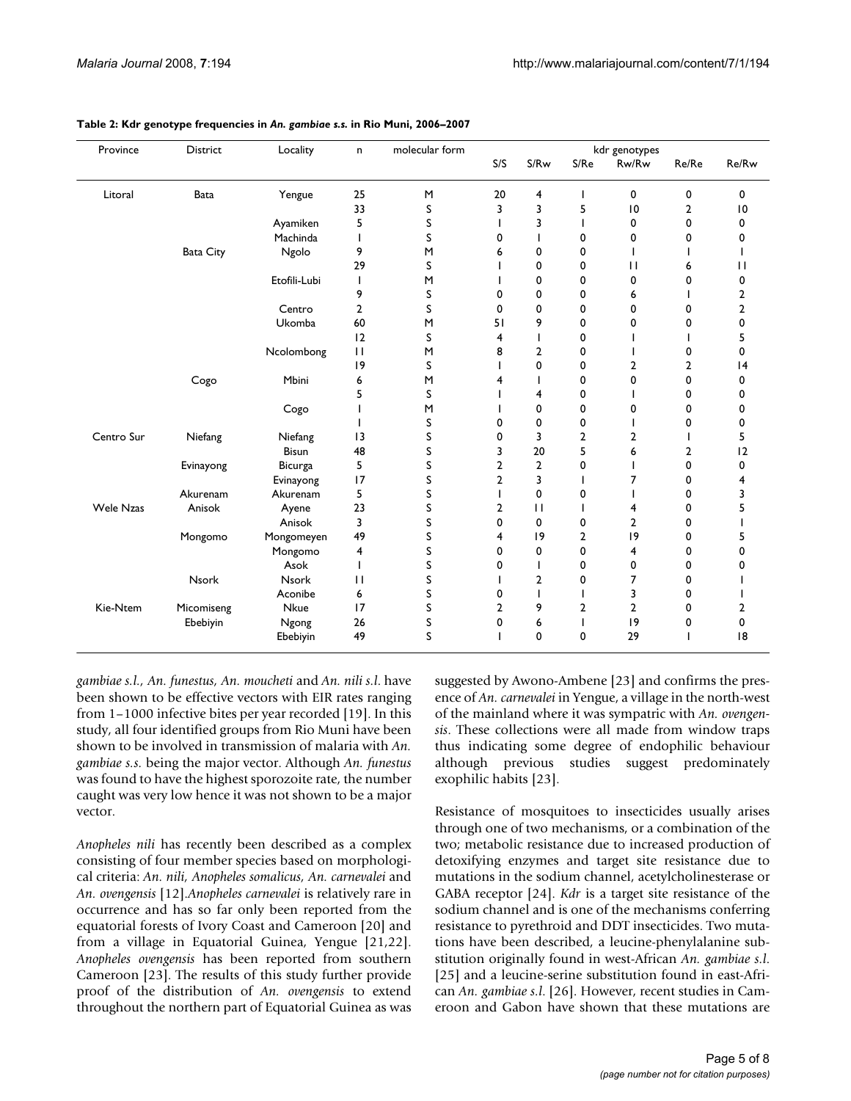| Province         | District         | Locality     | n              | molecular form | kdr genotypes  |                |                |                 |       |                |
|------------------|------------------|--------------|----------------|----------------|----------------|----------------|----------------|-----------------|-------|----------------|
|                  |                  |              |                |                | S/S            | S/Rw           | S/Re           | Rw/Rw           | Re/Re | Re/Rw          |
| Litoral          | Bata             | Yengue       | 25             | M              | 20             | 4              | T              | 0               | 0     | 0              |
|                  |                  |              | 33             | S              | 3              | 3              | 5              | $\overline{10}$ | 2     | 10             |
|                  |                  | Ayamiken     | 5              | S              |                | 3              |                | 0               | 0     | 0              |
|                  |                  | Machinda     |                | S              | 0              |                | 0              | 0               | 0     | 0              |
|                  | <b>Bata City</b> | Ngolo        | 9              | M              | 6              | 0              | 0              |                 |       |                |
|                  |                  |              | 29             | S              |                | 0              | 0              | $\mathbf{H}$    | 6     | Ш              |
|                  |                  | Etofili-Lubi | $\mathbf{I}$   | M              |                | 0              | 0              | 0               | 0     | 0              |
|                  |                  |              | 9              | S              | 0              | 0              | 0              | 6               |       | 2              |
|                  |                  | Centro       | $\overline{2}$ | S              | 0              | 0              | 0              | 0               | 0     | $\overline{a}$ |
|                  |                  | Ukomba       | 60             | M              | 51             | 9              | 0              | 0               | 0     | 0              |
|                  |                  |              | 12             | S              | 4              | ı              | 0              |                 |       | 5              |
|                  |                  | Ncolombong   | $\mathbf{H}$   | M              | 8              | $\overline{2}$ | 0              |                 | 0     | 0              |
|                  |                  |              | 9              | S              |                | $\mathbf 0$    | 0              | 2               | 2     | 4              |
|                  | Cogo             | Mbini        | 6              | M              | 4              |                | 0              | 0               | 0     | 0              |
|                  |                  |              | 5              | S              |                | 4              | 0              |                 | 0     | 0              |
|                  |                  | Cogo         |                | M              |                | 0              | 0              | 0               | 0     | 0              |
|                  |                  |              |                | S              | 0              | 0              | 0              |                 | 0     | 0              |
| Centro Sur       | Niefang          | Niefang      | 13             | S              | 0              | 3              | $\overline{2}$ | 2               | T     | 5              |
|                  |                  | <b>Bisun</b> | 48             | S              | 3              | 20             | 5              | 6               | 2     | 12             |
|                  | Evinayong        | Bicurga      | 5              | S              | 2              | $\overline{2}$ | 0              |                 | 0     | 0              |
|                  |                  | Evinayong    | 17             | S              | $\overline{2}$ | 3              |                | 7               | 0     | 4              |
|                  | Akurenam         | Akurenam     | 5              | S              |                | $\mathbf 0$    | 0              |                 | 0     | 3              |
| <b>Wele Nzas</b> | Anisok           | Ayene        | 23             | S              | 2              | $\mathbf{1}$   |                | 4               | 0     | 5              |
|                  |                  | Anisok       | 3              | S              | 0              | 0              | 0              | $\overline{2}$  | 0     |                |
|                  | Mongomo          | Mongomeyen   | 49             | S              | 4              | 9              | 2              | 9               | 0     | 5              |
|                  |                  | Mongomo      | 4              | S              | 0              | 0              | 0              | 4               | 0     | 0              |
|                  |                  | Asok         | L              | S              | 0              |                | 0              | 0               | 0     | 0              |
|                  | Nsork            | <b>Nsork</b> | $\mathbf{H}$   | S              |                | $\overline{2}$ | 0              | 7               | 0     |                |
|                  |                  | Aconibe      | 6              | S              | 0              | I              | I              | 3               | 0     |                |
| Kie-Ntem         | Micomiseng       | Nkue         | 17             | S              | $\overline{2}$ | 9              | $\overline{2}$ | $\overline{2}$  | 0     | 2              |
|                  | Ebebiyin         | Ngong        | 26             | S              | 0              | 6              | T              | 9               | 0     | 0              |
|                  |                  | Ebebiyin     | 49             | S              |                | $\mathbf 0$    | 0              | 29              |       | 8              |

#### **Table 2: Kdr genotype frequencies in** *An. gambiae s.s.* **in Rio Muni, 2006–2007**

*gambiae s.l., An. funestus, An. moucheti* and *An. nili s.l*. have been shown to be effective vectors with EIR rates ranging from 1–1000 infective bites per year recorded [19]. In this study, all four identified groups from Rio Muni have been shown to be involved in transmission of malaria with *An. gambiae s.s.* being the major vector. Although *An. funestus* was found to have the highest sporozoite rate, the number caught was very low hence it was not shown to be a major vector.

*Anopheles nili* has recently been described as a complex consisting of four member species based on morphological criteria: *An. nili, Anopheles somalicus, An. carnevalei* and *An. ovengensis* [12].*Anopheles carnevalei* is relatively rare in occurrence and has so far only been reported from the equatorial forests of Ivory Coast and Cameroon [\[20\]](#page-6-3) and from a village in Equatorial Guinea, Yengue [[21,](#page-6-4)22]. *Anopheles ovengensis* has been reported from southern Cameroon [[23](#page-6-5)]. The results of this study further provide proof of the distribution of *An. ovengensis* to extend throughout the northern part of Equatorial Guinea as was

suggested by Awono-Ambene [[23\]](#page-6-5) and confirms the presence of *An. carnevalei* in Yengue, a village in the north-west of the mainland where it was sympatric with *An. ovengensis*. These collections were all made from window traps thus indicating some degree of endophilic behaviour although previous studies suggest predominately exophilic habits [\[23\]](#page-6-5).

Resistance of mosquitoes to insecticides usually arises through one of two mechanisms, or a combination of the two; metabolic resistance due to increased production of detoxifying enzymes and target site resistance due to mutations in the sodium channel, acetylcholinesterase or GABA receptor [24]. *Kdr* is a target site resistance of the sodium channel and is one of the mechanisms conferring resistance to pyrethroid and DDT insecticides. Two mutations have been described, a leucine-phenylalanine substitution originally found in west-African *An. gambiae s.l*. [25] and a leucine-serine substitution found in east-African *An. gambiae s.l*. [26]. However, recent studies in Cameroon and Gabon have shown that these mutations are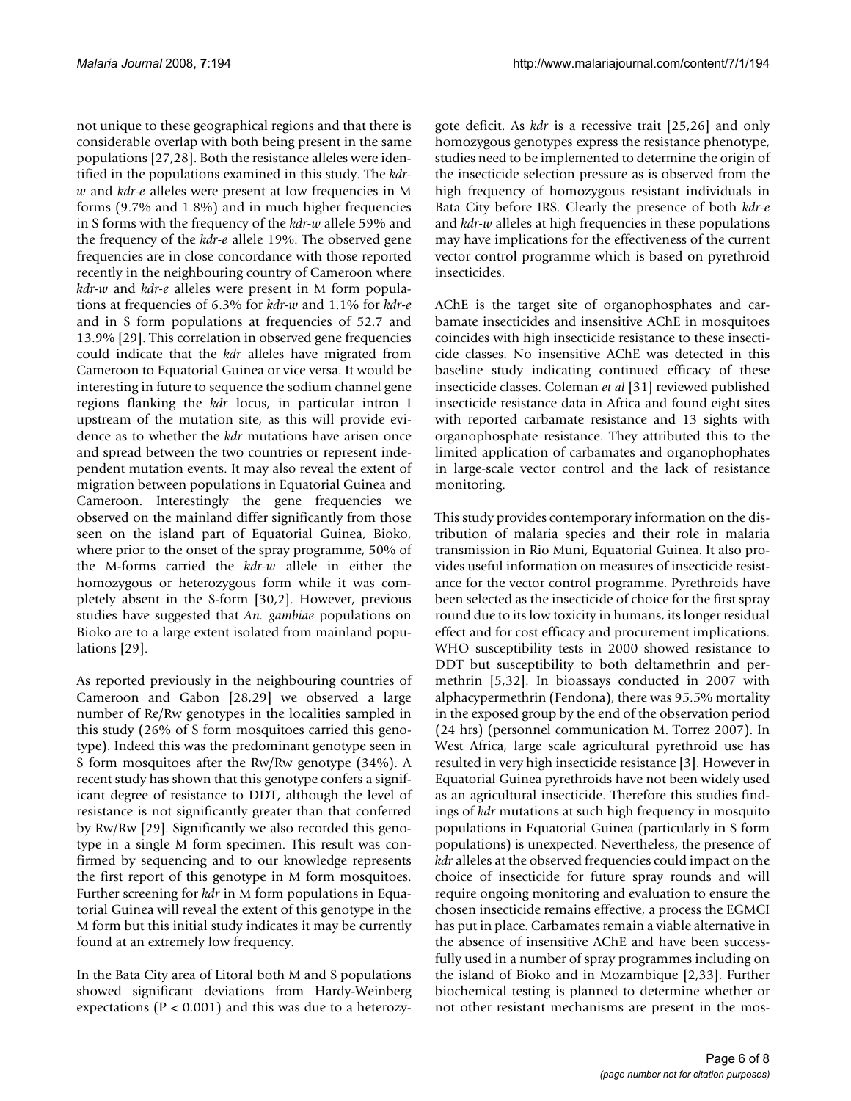not unique to these geographical regions and that there is considerable overlap with both being present in the same populations [[27](#page-7-0),28]. Both the resistance alleles were identified in the populations examined in this study. The *kdrw* and *kdr-e* alleles were present at low frequencies in M forms (9.7% and 1.8%) and in much higher frequencies in S forms with the frequency of the *kdr-w* allele 59% and the frequency of the *kdr-e* allele 19%. The observed gene frequencies are in close concordance with those reported recently in the neighbouring country of Cameroon where *kdr-w* and *kdr-e* alleles were present in M form populations at frequencies of 6.3% for *kdr-w* and 1.1% for *kdr-e* and in S form populations at frequencies of 52.7 and 13.9% [29]. This correlation in observed gene frequencies could indicate that the *kdr* alleles have migrated from Cameroon to Equatorial Guinea or vice versa. It would be interesting in future to sequence the sodium channel gene regions flanking the *kdr* locus, in particular intron I upstream of the mutation site, as this will provide evidence as to whether the *kdr* mutations have arisen once and spread between the two countries or represent independent mutation events. It may also reveal the extent of migration between populations in Equatorial Guinea and Cameroon. Interestingly the gene frequencies we observed on the mainland differ significantly from those seen on the island part of Equatorial Guinea, Bioko, where prior to the onset of the spray programme, 50% of the M-forms carried the *kdr-w* allele in either the homozygous or heterozygous form while it was completely absent in the S-form [30,2]. However, previous studies have suggested that *An. gambiae* populations on Bioko are to a large extent isolated from mainland populations [29].

As reported previously in the neighbouring countries of Cameroon and Gabon [28,29] we observed a large number of Re/Rw genotypes in the localities sampled in this study (26% of S form mosquitoes carried this genotype). Indeed this was the predominant genotype seen in S form mosquitoes after the Rw/Rw genotype (34%). A recent study has shown that this genotype confers a significant degree of resistance to DDT, although the level of resistance is not significantly greater than that conferred by Rw/Rw [29]. Significantly we also recorded this genotype in a single M form specimen. This result was confirmed by sequencing and to our knowledge represents the first report of this genotype in M form mosquitoes. Further screening for *kdr* in M form populations in Equatorial Guinea will reveal the extent of this genotype in the M form but this initial study indicates it may be currently found at an extremely low frequency.

In the Bata City area of Litoral both M and S populations showed significant deviations from Hardy-Weinberg expectations ( $P < 0.001$ ) and this was due to a heterozygote deficit. As *kdr* is a recessive trait [25,26] and only homozygous genotypes express the resistance phenotype, studies need to be implemented to determine the origin of the insecticide selection pressure as is observed from the high frequency of homozygous resistant individuals in Bata City before IRS. Clearly the presence of both *kdr-e* and *kdr-w* alleles at high frequencies in these populations may have implications for the effectiveness of the current vector control programme which is based on pyrethroid insecticides.

AChE is the target site of organophosphates and carbamate insecticides and insensitive AChE in mosquitoes coincides with high insecticide resistance to these insecticide classes. No insensitive AChE was detected in this baseline study indicating continued efficacy of these insecticide classes. Coleman *et al* [31] reviewed published insecticide resistance data in Africa and found eight sites with reported carbamate resistance and 13 sights with organophosphate resistance. They attributed this to the limited application of carbamates and organophophates in large-scale vector control and the lack of resistance monitoring.

This study provides contemporary information on the distribution of malaria species and their role in malaria transmission in Rio Muni, Equatorial Guinea. It also provides useful information on measures of insecticide resistance for the vector control programme. Pyrethroids have been selected as the insecticide of choice for the first spray round due to its low toxicity in humans, its longer residual effect and for cost efficacy and procurement implications. WHO susceptibility tests in 2000 showed resistance to DDT but susceptibility to both deltamethrin and permethrin [5,32]. In bioassays conducted in 2007 with alphacypermethrin (Fendona), there was 95.5% mortality in the exposed group by the end of the observation period (24 hrs) (personnel communication M. Torrez 2007). In West Africa, large scale agricultural pyrethroid use has resulted in very high insecticide resistance [3]. However in Equatorial Guinea pyrethroids have not been widely used as an agricultural insecticide. Therefore this studies findings of *kdr* mutations at such high frequency in mosquito populations in Equatorial Guinea (particularly in S form populations) is unexpected. Nevertheless, the presence of *kdr* alleles at the observed frequencies could impact on the choice of insecticide for future spray rounds and will require ongoing monitoring and evaluation to ensure the chosen insecticide remains effective, a process the EGMCI has put in place. Carbamates remain a viable alternative in the absence of insensitive AChE and have been successfully used in a number of spray programmes including on the island of Bioko and in Mozambique [2,33]. Further biochemical testing is planned to determine whether or not other resistant mechanisms are present in the mos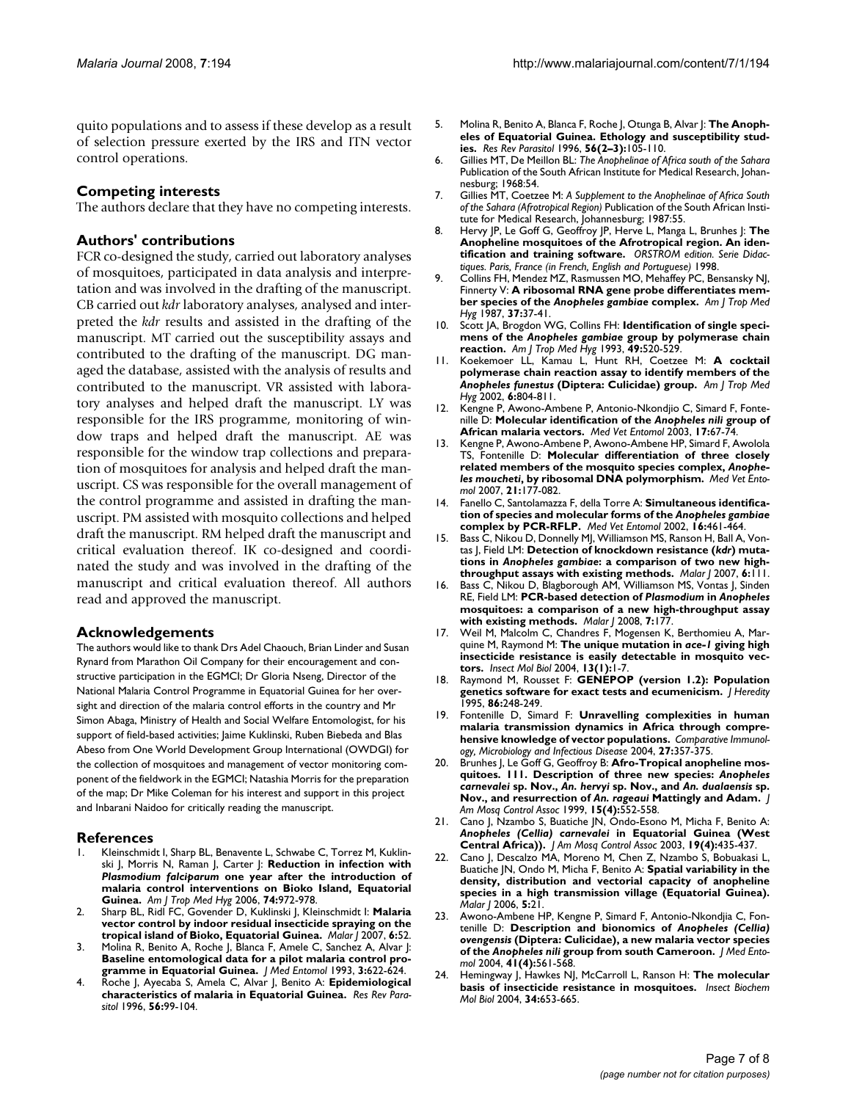quito populations and to assess if these develop as a result of selection pressure exerted by the IRS and ITN vector control operations.

# **Competing interests**

The authors declare that they have no competing interests.

#### **Authors' contributions**

FCR co-designed the study, carried out laboratory analyses of mosquitoes, participated in data analysis and interpretation and was involved in the drafting of the manuscript. CB carried out *kdr* laboratory analyses, analysed and interpreted the *kdr* results and assisted in the drafting of the manuscript. MT carried out the susceptibility assays and contributed to the drafting of the manuscript. DG managed the database, assisted with the analysis of results and contributed to the manuscript. VR assisted with laboratory analyses and helped draft the manuscript. LY was responsible for the IRS programme, monitoring of window traps and helped draft the manuscript. AE was responsible for the window trap collections and preparation of mosquitoes for analysis and helped draft the manuscript. CS was responsible for the overall management of the control programme and assisted in drafting the manuscript. PM assisted with mosquito collections and helped draft the manuscript. RM helped draft the manuscript and critical evaluation thereof. IK co-designed and coordinated the study and was involved in the drafting of the manuscript and critical evaluation thereof. All authors read and approved the manuscript.

#### **Acknowledgements**

The authors would like to thank Drs Adel Chaouch, Brian Linder and Susan Rynard from Marathon Oil Company for their encouragement and constructive participation in the EGMCI; Dr Gloria Nseng, Director of the National Malaria Control Programme in Equatorial Guinea for her oversight and direction of the malaria control efforts in the country and Mr Simon Abaga, Ministry of Health and Social Welfare Entomologist, for his support of field-based activities; Jaime Kuklinski, Ruben Biebeda and Blas Abeso from One World Development Group International (OWDGI) for the collection of mosquitoes and management of vector monitoring component of the fieldwork in the EGMCI; Natashia Morris for the preparation of the map; Dr Mike Coleman for his interest and support in this project and Inbarani Naidoo for critically reading the manuscript.

#### **References**

- <span id="page-6-0"></span>Kleinschmidt I, Sharp BL, Benavente L, Schwabe C, Torrez M, Kuklinski J, Morris N, Raman J, Carter J: **Reduction in infection with** *Plasmodium falciparum* **[one year after the introduction of](http://www.ncbi.nlm.nih.gov/entrez/query.fcgi?cmd=Retrieve&db=PubMed&dopt=Abstract&list_uids=16760506) [malaria control interventions on Bioko Island, Equatorial](http://www.ncbi.nlm.nih.gov/entrez/query.fcgi?cmd=Retrieve&db=PubMed&dopt=Abstract&list_uids=16760506) [Guinea.](http://www.ncbi.nlm.nih.gov/entrez/query.fcgi?cmd=Retrieve&db=PubMed&dopt=Abstract&list_uids=16760506)** *Am J Trop Med Hyg* 2006, **74:**972-978.
- 2. Sharp BL, Ridl FC, Govender D, Kuklinski J, Kleinschmidt I: **[Malaria](http://www.ncbi.nlm.nih.gov/entrez/query.fcgi?cmd=Retrieve&db=PubMed&dopt=Abstract&list_uids=17474975) [vector control by indoor residual insecticide spraying on the](http://www.ncbi.nlm.nih.gov/entrez/query.fcgi?cmd=Retrieve&db=PubMed&dopt=Abstract&list_uids=17474975) [tropical island of Bioko, Equatorial Guinea.](http://www.ncbi.nlm.nih.gov/entrez/query.fcgi?cmd=Retrieve&db=PubMed&dopt=Abstract&list_uids=17474975)** *Malar J* 2007, **6:**52.
- 3. Molina R, Benito A, Roche J, Blanca F, Amele C, Sanchez A, Alvar J: **Baseline entomological data for a pilot malaria control programme in Equatorial Guinea.** *J Med Entomol* 1993, **3:**622-624.
- 4. Roche J, Ayecaba S, Amela C, Alvar J, Benito A: **Epidemiological characteristics of malaria in Equatorial Guinea.** *Res Rev Parasitol* 1996, **56:**99-104.
- 5. Molina R, Benito A, Blanca F, Roche J, Otunga B, Alvar J: **The Anopheles of Equatorial Guinea. Ethology and susceptibility studies.** *Res Rev Parasitol* 1996, **56(2–3):**105-110.
- 6. Gillies MT, De Meillon BL: *The Anophelinae of Africa south of the Sahara* Publication of the South African Institute for Medical Research, Johannesburg; 1968:54.
- 7. Gillies MT, Coetzee M: *A Supplement to the Anophelinae of Africa South of the Sahara (Afrotropical Region)* Publication of the South African Institute for Medical Research, Johannesburg; 1987:55.
- 8. Hervy JP, Le Goff G, Geoffroy JP, Herve L, Manga L, Brunhes J: **The Anopheline mosquitoes of the Afrotropical region. An identification and training software.** *ORSTROM edition. Serie Didactiques. Paris, France (in French, English and Portuguese)* 1998.
- <span id="page-6-1"></span>9. Collins FH, Mendez MZ, Rasmussen MO, Mehaffey PC, Bensansky NJ, Finnerty V: **A ribosomal RNA gene probe differentiates member species of the** *Anopheles gambiae* **[complex.](http://www.ncbi.nlm.nih.gov/entrez/query.fcgi?cmd=Retrieve&db=PubMed&dopt=Abstract&list_uids=2886070)** *Am J Trop Med Hyg* 1987, **37:**37-41.
- <span id="page-6-2"></span>10. Scott JA, Brogdon WG, Collins FH: **Identification of single specimens of the** *Anopheles gambiae* **[group by polymerase chain](http://www.ncbi.nlm.nih.gov/entrez/query.fcgi?cmd=Retrieve&db=PubMed&dopt=Abstract&list_uids=8214283) [reaction.](http://www.ncbi.nlm.nih.gov/entrez/query.fcgi?cmd=Retrieve&db=PubMed&dopt=Abstract&list_uids=8214283)** *Am J Trop Med Hyg* 1993, **49:**520-529.
- 11. Koekemoer LL, Kamau L, Hunt RH, Coetzee M: **A cocktail polymerase chain reaction assay to identify members of the** *Anopheles funestus* **(Diptera: Culicidae) group.** *Am J Trop Med Hyg* 2002, **6:**804-811.
- 12. Kengne P, Awono-Ambene P, Antonio-Nkondjio C, Simard F, Fontenille D: **Molecular identification of the** *Anopheles nili* **[group of](http://www.ncbi.nlm.nih.gov/entrez/query.fcgi?cmd=Retrieve&db=PubMed&dopt=Abstract&list_uids=12680928) [African malaria vectors.](http://www.ncbi.nlm.nih.gov/entrez/query.fcgi?cmd=Retrieve&db=PubMed&dopt=Abstract&list_uids=12680928)** *Med Vet Entomol* 2003, **17:**67-74.
- 13. Kengne P, Awono-Ambene P, Awono-Ambene HP, Simard F, Awolola TS, Fontenille D: **Molecular differentiation of three closely related members of the mosquito species complex,** *Anopheles moucheti***[, by ribosomal DNA polymorphism.](http://www.ncbi.nlm.nih.gov/entrez/query.fcgi?cmd=Retrieve&db=PubMed&dopt=Abstract&list_uids=17550437)** *Med Vet Entomol* 2007, **21:**177-082.
- 14. Fanello C, Santolamazza F, della Torre A: **Simultaneous identification of species and molecular forms of the** *Anopheles gambiae* **[complex by PCR-RFLP.](http://www.ncbi.nlm.nih.gov/entrez/query.fcgi?cmd=Retrieve&db=PubMed&dopt=Abstract&list_uids=12510902)** *Med Vet Entomol* 2002, **16:**461-464.
- Bass C, Nikou D, Donnelly MJ, Williamson MS, Ranson H, Ball A, Vontas J, Field LM: **Detection of knockdown resistance (***kdr***) mutations in** *Anopheles gambiae***[: a comparison of two new high](http://www.ncbi.nlm.nih.gov/entrez/query.fcgi?cmd=Retrieve&db=PubMed&dopt=Abstract&list_uids=17697325)[throughput assays with existing methods.](http://www.ncbi.nlm.nih.gov/entrez/query.fcgi?cmd=Retrieve&db=PubMed&dopt=Abstract&list_uids=17697325)** *Malar J* 2007, **6:**111.
- 16. Bass C, Nikou D, Blagborough AM, Williamson MS, Vontas J, Sinden RE, Field LM: **PCR-based detection of** *Plasmodium* **in** *Anopheles* **[mosquitoes: a comparison of a new high-throughput assay](http://www.ncbi.nlm.nih.gov/entrez/query.fcgi?cmd=Retrieve&db=PubMed&dopt=Abstract&list_uids=18793416) [with existing methods.](http://www.ncbi.nlm.nih.gov/entrez/query.fcgi?cmd=Retrieve&db=PubMed&dopt=Abstract&list_uids=18793416)** *Malar J* 2008, **7:**177.
- 17. Weil M, Malcolm C, Chandres F, Mogensen K, Berthomieu A, Marquine M, Raymond M: **The unique mutation in** *ace-1* **[giving high](http://www.ncbi.nlm.nih.gov/entrez/query.fcgi?cmd=Retrieve&db=PubMed&dopt=Abstract&list_uids=14728661) [insecticide resistance is easily detectable in mosquito vec](http://www.ncbi.nlm.nih.gov/entrez/query.fcgi?cmd=Retrieve&db=PubMed&dopt=Abstract&list_uids=14728661)[tors.](http://www.ncbi.nlm.nih.gov/entrez/query.fcgi?cmd=Retrieve&db=PubMed&dopt=Abstract&list_uids=14728661)** *Insect Mol Biol* 2004, **13(1):**1-7.
- 18. Raymond M, Rousset F: **GENEPOP (version 1.2): Population genetics software for exact tests and ecumenicism.** *J Heredity* 1995, **86:**248-249.
- 19. Fontenille D, Simard F: **Unravelling complexities in human malaria transmission dynamics in Africa through comprehensive knowledge of vector populations.** *Comparative Immunology, Microbiology and Infectious Disease* 2004, **27:**357-375.
- <span id="page-6-3"></span>20. Brunhes J, Le Goff G, Geoffroy B: **Afro-Tropical anopheline mosquitoes. 111. Description of three new species:** *Anopheles carnevalei* **sp. Nov.,** *An. hervyi* **sp. Nov., and** *An. dualaensis* **sp. Nov., and resurrection of** *An. rageaui* **[Mattingly and Adam.](http://www.ncbi.nlm.nih.gov/entrez/query.fcgi?cmd=Retrieve&db=PubMed&dopt=Abstract&list_uids=10612618)** *J Am Mosq Control Assoc* 1999, **15(4):**552-558.
- <span id="page-6-4"></span>21. Cano J, Nzambo S, Buatiche JN, Ondo-Esono M, Micha F, Benito A: *Anopheles (Cellia) carnevalei* **[in Equatorial Guinea \(West](http://www.ncbi.nlm.nih.gov/entrez/query.fcgi?cmd=Retrieve&db=PubMed&dopt=Abstract&list_uids=14710750) [Central Africa\)\).](http://www.ncbi.nlm.nih.gov/entrez/query.fcgi?cmd=Retrieve&db=PubMed&dopt=Abstract&list_uids=14710750)** *J Am Mosq Control Assoc* 2003, **19(4):**435-437.
- Cano J, Descalzo MA, Moreno M, Chen Z, Nzambo S, Bobuakasi L, Buatiche JN, Ondo M, Micha F, Benito A: **[Spatial variability in the](http://www.ncbi.nlm.nih.gov/entrez/query.fcgi?cmd=Retrieve&db=PubMed&dopt=Abstract&list_uids=16556321) density, distribution and vectorial capacity of anopheline [species in a high transmission village \(Equatorial Guinea\).](http://www.ncbi.nlm.nih.gov/entrez/query.fcgi?cmd=Retrieve&db=PubMed&dopt=Abstract&list_uids=16556321)** *Malar J* 2006, **5:**21.
- <span id="page-6-5"></span>23. Awono-Ambene HP, Kengne P, Simard F, Antonio-Nkondjia C, Fontenille D: **Description and bionomics of** *Anopheles (Cellia) ovengensis* **(Diptera: Culicidae), a new malaria vector species of the** *Anopheles nili* **[group from south Cameroon.](http://www.ncbi.nlm.nih.gov/entrez/query.fcgi?cmd=Retrieve&db=PubMed&dopt=Abstract&list_uids=15311444)** *J Med Entomol* 2004, **41(4):**561-568.
- 24. Hemingway J, Hawkes NJ, McCarroll L, Ranson H: **[The molecular](http://www.ncbi.nlm.nih.gov/entrez/query.fcgi?cmd=Retrieve&db=PubMed&dopt=Abstract&list_uids=15242706) [basis of insecticide resistance in mosquitoes.](http://www.ncbi.nlm.nih.gov/entrez/query.fcgi?cmd=Retrieve&db=PubMed&dopt=Abstract&list_uids=15242706)** *Insect Biochem Mol Biol* 2004, **34:**653-665.